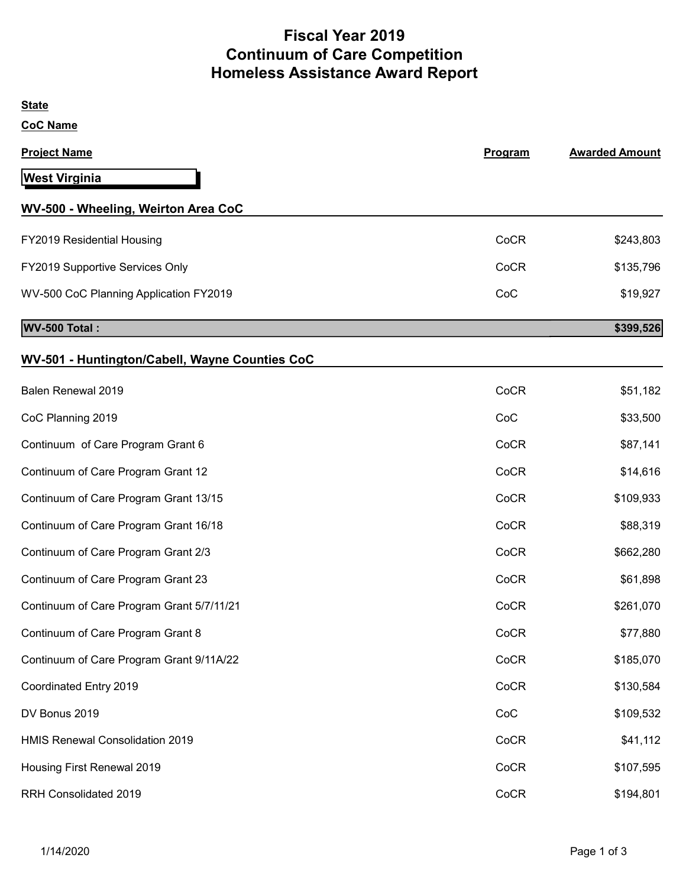# Fiscal Year 2019 Continuum of Care Competition Homeless Assistance Award Report

| <b>State</b>                                   |         |                       |
|------------------------------------------------|---------|-----------------------|
| <b>CoC Name</b>                                |         |                       |
| <b>Project Name</b>                            | Program | <b>Awarded Amount</b> |
| <b>West Virginia</b>                           |         |                       |
| WV-500 - Wheeling, Weirton Area CoC            |         |                       |
| FY2019 Residential Housing                     | CoCR    | \$243,803             |
| FY2019 Supportive Services Only                | CoCR    | \$135,796             |
| WV-500 CoC Planning Application FY2019         | CoC     | \$19,927              |
| WV-500 Total:                                  |         | \$399,526             |
| WV-501 - Huntington/Cabell, Wayne Counties CoC |         |                       |
| Balen Renewal 2019                             | CoCR    | \$51,182              |
| CoC Planning 2019                              | CoC     | \$33,500              |
| Continuum of Care Program Grant 6              | CoCR    | \$87,141              |
| Continuum of Care Program Grant 12             | CoCR    | \$14,616              |
| Continuum of Care Program Grant 13/15          | CoCR    | \$109,933             |
| Continuum of Care Program Grant 16/18          | CoCR    | \$88,319              |
| Continuum of Care Program Grant 2/3            | CoCR    | \$662,280             |
| Continuum of Care Program Grant 23             | CoCR    | \$61,898              |
| Continuum of Care Program Grant 5/7/11/21      | CoCR    | \$261,070             |
| Continuum of Care Program Grant 8              | CoCR    | \$77,880              |
| Continuum of Care Program Grant 9/11A/22       | CoCR    | \$185,070             |
| Coordinated Entry 2019                         | CoCR    | \$130,584             |
| DV Bonus 2019                                  | CoC     | \$109,532             |
| HMIS Renewal Consolidation 2019                | CoCR    | \$41,112              |
| Housing First Renewal 2019                     | CoCR    | \$107,595             |
| RRH Consolidated 2019                          | CoCR    | \$194,801             |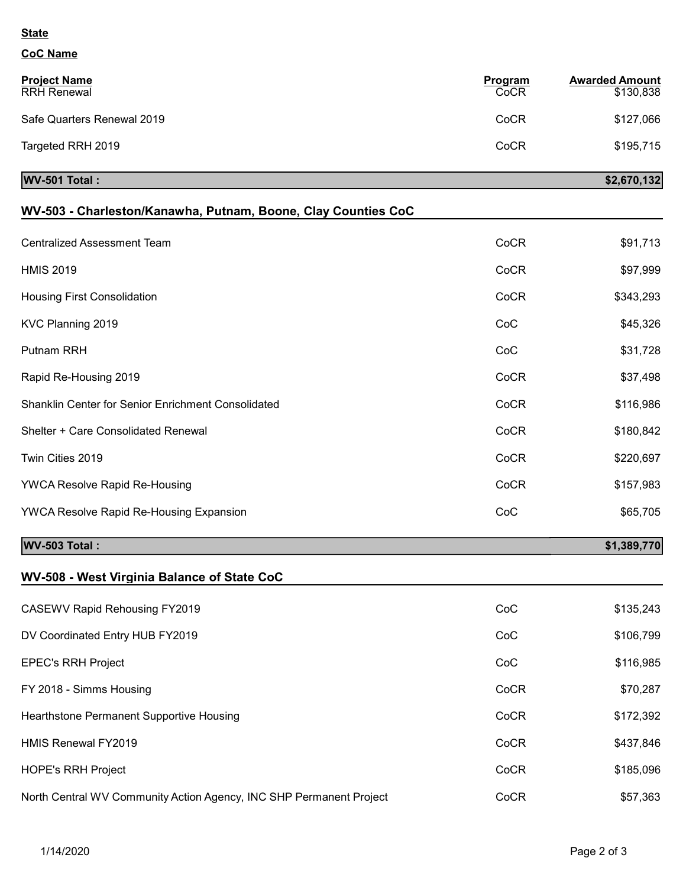#### **State**

### CoC Name

| <b>Project Name</b><br><b>RRH Renewal</b> | Program<br>CoCR | <b>Awarded Amount</b><br>\$130,838 |
|-------------------------------------------|-----------------|------------------------------------|
| Safe Quarters Renewal 2019                | CoCR            | \$127,066                          |
| Targeted RRH 2019                         | CoCR            | \$195,715                          |
| <b>WV-501 Total:</b>                      |                 | \$2,670,132                        |

| <b>WV-503 Total:</b>                                          |      | \$1,389,770 |
|---------------------------------------------------------------|------|-------------|
| <b>YWCA Resolve Rapid Re-Housing Expansion</b>                | CoC  | \$65,705    |
| YWCA Resolve Rapid Re-Housing                                 | CoCR | \$157,983   |
| Twin Cities 2019                                              | CoCR | \$220,697   |
| Shelter + Care Consolidated Renewal                           | CoCR | \$180,842   |
| Shanklin Center for Senior Enrichment Consolidated            | CoCR | \$116,986   |
| Rapid Re-Housing 2019                                         | CoCR | \$37,498    |
| Putnam RRH                                                    | CoC  | \$31,728    |
| KVC Planning 2019                                             | CoC  | \$45,326    |
| <b>Housing First Consolidation</b>                            | CoCR | \$343,293   |
| <b>HMIS 2019</b>                                              | CoCR | \$97,999    |
| <b>Centralized Assessment Team</b>                            | CoCR | \$91,713    |
| WV-503 - Charleston/Kanawha, Putnam, Boone, Clay Counties CoC |      |             |

# WV-508 - West Virginia Balance of State CoC

| CASEWV Rapid Rehousing FY2019                                       | CoC  | \$135,243 |
|---------------------------------------------------------------------|------|-----------|
| DV Coordinated Entry HUB FY2019                                     | CoC  | \$106,799 |
| <b>EPEC's RRH Project</b>                                           | CoC  | \$116,985 |
| FY 2018 - Simms Housing                                             | CoCR | \$70,287  |
| Hearthstone Permanent Supportive Housing                            | CoCR | \$172,392 |
| <b>HMIS Renewal FY2019</b>                                          | CoCR | \$437,846 |
| <b>HOPE's RRH Project</b>                                           | CoCR | \$185,096 |
| North Central WV Community Action Agency, INC SHP Permanent Project | CoCR | \$57,363  |